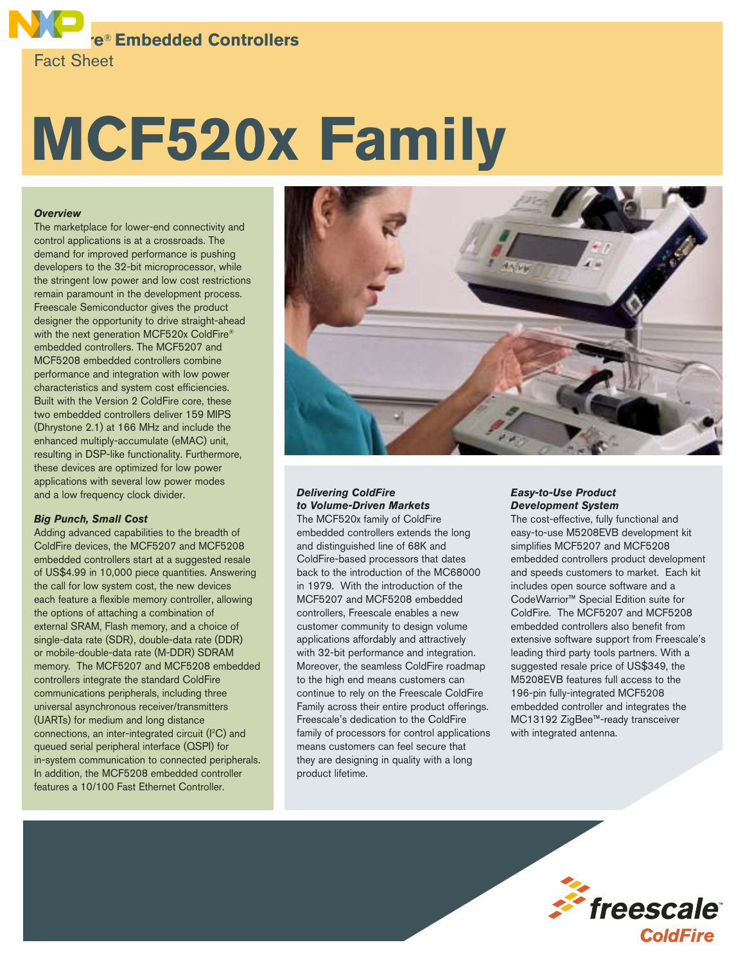

# **MCF520x Family**

### *Overview*

The marketplace for lower-end connectivity and control applications is at a crossroads. The demand for improved performance is pushing developers to the 32-bit microprocessor, while the stringent low power and low cost restrictions remain paramount in the development process. Freescale Semiconductor gives the product designer the opportunity to drive straight-ahead with the next generation MCF520x ColdFire® embedded controllers. The MCF5207 and MCF5208 embedded controllers combine performance and integration with low power characteristics and system cost efficiencies. Built with the Version 2 ColdFire core, these two embedded controllers deliver 159 MIPS (Dhrystone 2.1) at 166 MHz and include the enhanced multiply-accumulate (eMAC) unit, resulting in DSP-like functionality. Furthermore, these devices are optimized for low power applications with several low power modes and a low frequency clock divider.

#### *Big Punch, Small Cost*

Adding advanced capabilities to the breadth of ColdFire devices, the MCF5207 and MCF5208 embedded controllers start at a suggested resale of US\$4.99 in 10,000 piece quantities. Answering the call for low system cost, the new devices each feature a flexible memory controller, allowing the options of attaching a combination of external SRAM, Flash memory, and a choice of single-data rate (SDR), double-data rate (DDR) or mobile-double-data rate (M-DDR) SDRAM memory. The MCF5207 and MCF5208 embedded controllers integrate the standard ColdFire communications peripherals, including three universal asynchronous receiver/transmitters (UARTs) for medium and long distance connections, an inter-integrated circuit (I<sup>2</sup>C) and queued serial peripheral interface (QSPI) for in-system communication to connected peripherals. In addition, the MCF5208 embedded controller features a 10/100 Fast Ethernet Controller.



# *Delivering ColdFire to Volume-Driven Markets*

The MCF520x family of ColdFire embedded controllers extends the long and distinguished line of 68K and ColdFire-based processors that dates back to the introduction of the MC68000 in 1979. With the introduction of the MCF5207 and MCF5208 embedded controllers, Freescale enables a new customer community to design volume applications affordably and attractively with 32-bit performance and integration. Moreover, the seamless ColdFire roadmap to the high end means customers can continue to rely on the Freescale ColdFire Family across their entire product offerings. Freescale's dedication to the ColdFire family of processors for control applications means customers can feel secure that they are designing in quality with a long product lifetime.

#### *Easy-to-Use Product Development System*

The cost-effective, fully functional and easy-to-use M5208EVB development kit simplifies MCF5207 and MCF5208 embedded controllers product development and speeds customers to market. Each kit includes open source software and a CodeWarrior™ Special Edition suite for ColdFire. The MCF5207 and MCF5208 embedded controllers also benefit from extensive software support from Freescale's leading third party tools partners. With a suggested resale price of US\$349, the M5208EVB features full access to the 196-pin fully-integrated MCF5208 embedded controller and integrates the MC13192 ZigBee™-ready transceiver with integrated antenna.